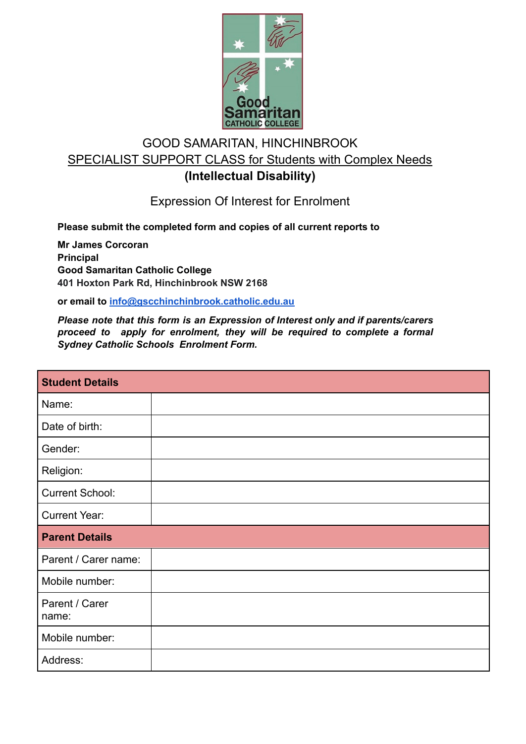

## GOOD SAMARITAN, HINCHINBROOK SPECIALIST SUPPORT CLASS for Students with Complex Needs **(Intellectual Disability)**

Expression Of Interest for Enrolment

**Please submit the completed form and copies of all current reports to**

**Mr James Corcoran Principal Good Samaritan Catholic College 401 Hoxton Park Rd, Hinchinbrook NSW 2168**

**or email to info@gscchinchinbrook.catholic.edu.au**

*Please note that this form is an Expression of Interest only and if parents/carers proceed to apply for enrolment, they will be required to complete a formal Sydney Catholic Schools Enrolment Form.*

| <b>Student Details</b>  |  |
|-------------------------|--|
| Name:                   |  |
| Date of birth:          |  |
| Gender:                 |  |
| Religion:               |  |
| <b>Current School:</b>  |  |
| <b>Current Year:</b>    |  |
| <b>Parent Details</b>   |  |
| Parent / Carer name:    |  |
| Mobile number:          |  |
| Parent / Carer<br>name: |  |
| Mobile number:          |  |
| Address:                |  |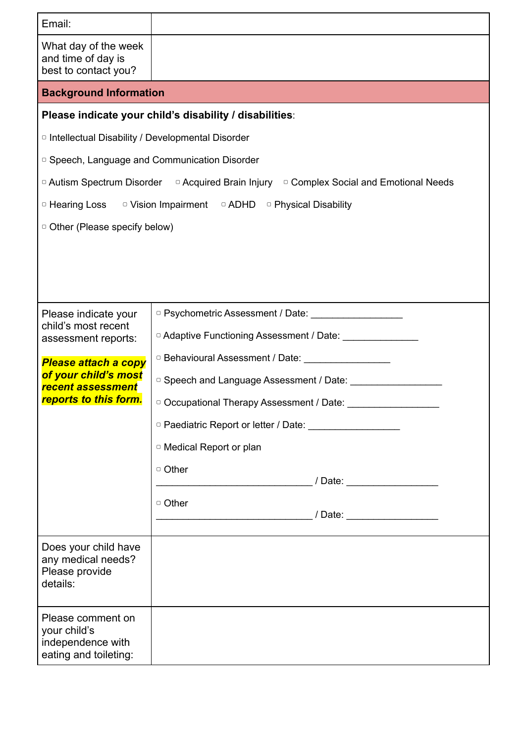| Email:                                                                                     |                                                                                                                                                                                                                                |  |
|--------------------------------------------------------------------------------------------|--------------------------------------------------------------------------------------------------------------------------------------------------------------------------------------------------------------------------------|--|
| What day of the week<br>and time of day is<br>best to contact you?                         |                                                                                                                                                                                                                                |  |
| <b>Background Information</b>                                                              |                                                                                                                                                                                                                                |  |
| Please indicate your child's disability / disabilities:                                    |                                                                                                                                                                                                                                |  |
| <sup>o</sup> Intellectual Disability / Developmental Disorder                              |                                                                                                                                                                                                                                |  |
| <sup>o</sup> Speech, Language and Communication Disorder                                   |                                                                                                                                                                                                                                |  |
| □ Autism Spectrum Disorder □ Acquired Brain Injury □ Complex Social and Emotional Needs    |                                                                                                                                                                                                                                |  |
| <b>D</b> Hearing Loss D Vision Impairment D ADHD D Physical Disability                     |                                                                                                                                                                                                                                |  |
| <sup>o</sup> Other (Please specify below)                                                  |                                                                                                                                                                                                                                |  |
|                                                                                            |                                                                                                                                                                                                                                |  |
|                                                                                            |                                                                                                                                                                                                                                |  |
| Please indicate your<br>child's most recent<br>assessment reports:                         | D Psychometric Assessment / Date: Demonstration of Psychometric Assessment / Date:                                                                                                                                             |  |
|                                                                                            | D Adaptive Functioning Assessment / Date: \\connection \\connection \\connection \\connection \\connection \\connection \\connection \\connection \\connection \\connection \\connection \\connection \\connection \\connectio |  |
| Please attach a copy<br>of your child's most<br>recent assessment<br>reports to this form. | D Behavioural Assessment / Date: _________________                                                                                                                                                                             |  |
|                                                                                            | O Speech and Language Assessment / Date: Communication of Speech and Language Assessment / Date:                                                                                                                               |  |
|                                                                                            | D Occupational Therapy Assessment / Date:                                                                                                                                                                                      |  |
|                                                                                            | D Paediatric Report or letter / Date: Demonstructure                                                                                                                                                                           |  |
|                                                                                            | <sup>o</sup> Medical Report or plan                                                                                                                                                                                            |  |
|                                                                                            | □ Other                                                                                                                                                                                                                        |  |
|                                                                                            | □ Other                                                                                                                                                                                                                        |  |
|                                                                                            | / Date: <u>Date:</u>                                                                                                                                                                                                           |  |
| Does your child have<br>any medical needs?<br>Please provide<br>details:                   |                                                                                                                                                                                                                                |  |
| Please comment on<br>your child's<br>independence with<br>eating and toileting:            |                                                                                                                                                                                                                                |  |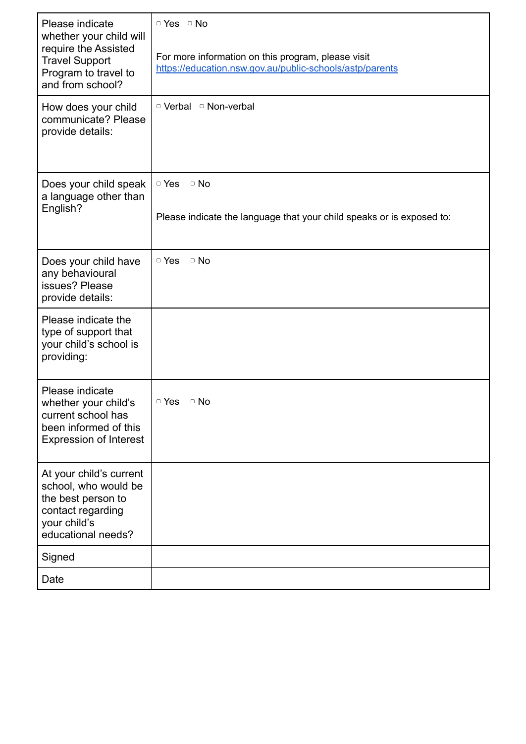| Please indicate<br>whether your child will<br>require the Assisted<br><b>Travel Support</b><br>Program to travel to<br>and from school? | □ Yes □ No<br>For more information on this program, please visit<br>https://education.nsw.gov.au/public-schools/astp/parents |
|-----------------------------------------------------------------------------------------------------------------------------------------|------------------------------------------------------------------------------------------------------------------------------|
| How does your child<br>communicate? Please<br>provide details:                                                                          | □ Verbal □ Non-verbal                                                                                                        |
| Does your child speak<br>a language other than<br>English?                                                                              | $\circ$ Yes<br>$\circ$ No<br>Please indicate the language that your child speaks or is exposed to:                           |
| Does your child have<br>any behavioural<br>issues? Please<br>provide details:                                                           | $\Box$ No<br>□ Yes                                                                                                           |
| Please indicate the<br>type of support that<br>your child's school is<br>providing:                                                     |                                                                                                                              |
| Please indicate<br>whether your child's<br>current school has<br>been informed of this<br><b>Expression of Interest</b>                 | $\circ$ Yes<br>$\circ$ No                                                                                                    |
| At your child's current<br>school, who would be<br>the best person to<br>contact regarding<br>your child's<br>educational needs?        |                                                                                                                              |
| Signed                                                                                                                                  |                                                                                                                              |
| Date                                                                                                                                    |                                                                                                                              |